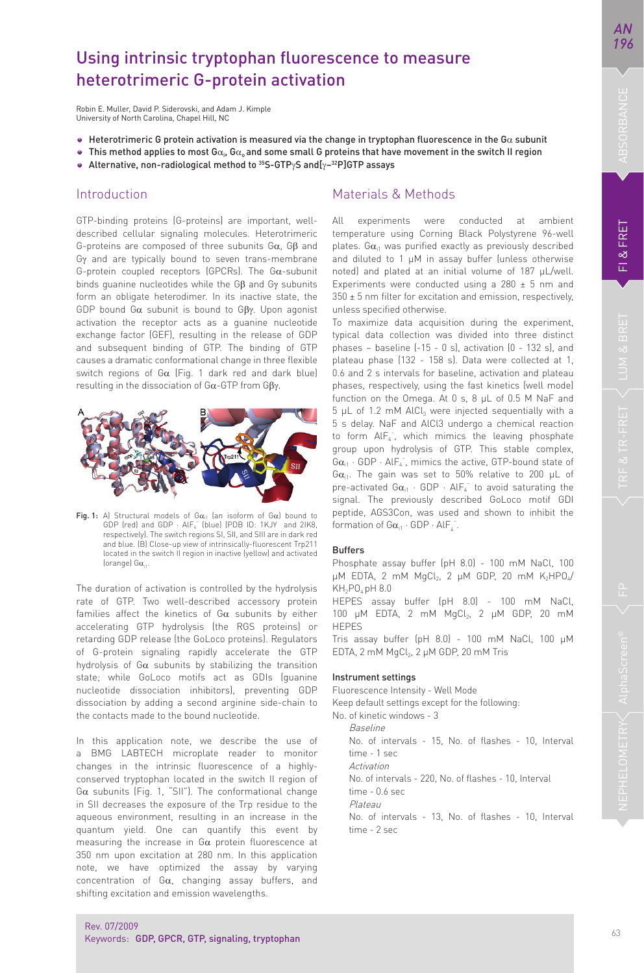# Using intrinsic tryptophan fluorescence to measure heterotrimeric G-protein activation

Robin E. Muller, David P. Siderovski, and Adam J. Kimple University of North Carolina, Chapel Hill, NC

- Heterotrimeric G protein activation is measured via the change in tryptophan fluorescence in the G $\alpha$  subunit
- This method applies to most G $\alpha_i$ , G $\alpha_o$  and some small G proteins that have movement in the switch II region
- Alternative, non-radiological method to 35S-GTPγS and[γ−32P]GTP assays

## Introduction

GTP-binding proteins (G-proteins) are important, welldescribed cellular signaling molecules. Heterotrimeric G-proteins are composed of three subunits Gα, Gβ and Gγ and are typically bound to seven trans-membrane G-protein coupled receptors (GPCRs). The Gα-subunit binds guanine nucleotides while the Gβ and Gγ subunits form an obligate heterodimer. In its inactive state, the GDP bound Gα subunit is bound to Gβγ. Upon agonist activation the receptor acts as a guanine nucleotide exchange factor (GEF), resulting in the release of GDP and subsequent binding of GTP. The binding of GTP causes a dramatic conformational change in three flexible switch regions of Gα (Fig. 1 dark red and dark blue) resulting in the dissociation of Gα-GTP from Gβγ.



Fig. 1: A) Structural models of G $\alpha_{i1}$  (an isoform of G $\alpha$ ) bound to GDP (red) and GDP  $\cdot$  AlF $_{4}^{+}$  (blue) (PDB ID: 1KJY  $\,$  and 2IK8, respectively). The switch regions SI, SII, and SIII are in dark red and blue. (B) Close-up view of intrinsically-fluorescent Trp211 located in the switch II region in inactive (yellow) and activated (orange)  $Ga_{11}$ .

The duration of activation is controlled by the hydrolysis rate of GTP. Two well-described accessory protein families affect the kinetics of  $Ga$  subunits by either accelerating GTP hydrolysis (the RGS proteins) or retarding GDP release (the GoLoco proteins). Regulators of G-protein signaling rapidly accelerate the GTP hydrolysis of  $G\alpha$  subunits by stabilizing the transition state; while GoLoco motifs act as GDIs (guanine nucleotide dissociation inhibitors), preventing GDP dissociation by adding a second arginine side-chain to the contacts made to the bound nucleotide.

In this application note, we describe the use of a BMG LABTECH microplate reader to monitor changes in the intrinsic fluorescence of a highlyconserved tryptophan located in the switch II region of Gα subunits (Fig. 1, "SII"). The conformational change in SII decreases the exposure of the Trp residue to the aqueous environment, resulting in an increase in the quantum yield. One can quantify this event by measuring the increase in  $G\alpha$  protein fluorescence at 350 nm upon excitation at 280 nm. In this application note, we have optimized the assay by varying concentration of Gα, changing assay buffers, and shifting excitation and emission wavelengths.

# Materials & Methods

All experiments were conducted at ambient temperature using Corning Black Polystyrene 96-well plates.  $G\alpha_{i1}$  was purified exactly as previously described and diluted to 1 μM in assay buffer (unless otherwise noted) and plated at an initial volume of 187 μL/well. Experiments were conducted using a  $280 \pm 5$  nm and  $350 \pm 5$  nm filter for excitation and emission, respectively, unless specified otherwise.

To maximize data acquisition during the experiment, typical data collection was divided into three distinct phases – baseline (-15 - 0 s), activation (0 - 132 s), and plateau phase (132 - 158 s). Data were collected at 1, 0.6 and 2 s intervals for baseline, activation and plateau phases, respectively, using the fast kinetics (well mode) function on the Omega. At 0 s, 8 μL of 0.5 M NaF and 5 μL of 1.2 mM AlCl<sub>3</sub> were injected sequentially with a 5 s delay. NaF and AlCl3 undergo a chemical reaction to form AlF<sub>4</sub>, which mimics the leaving phosphate group upon hydrolysis of GTP. This stable complex,  $Ga_{i1}$  · GDP · AlF<sub>4</sub><sup>-</sup>, mimics the active, GTP-bound state of G $\alpha_{i1}$ . The gain was set to 50% relative to 200 μL of pre-activated  $Ga_{i1}$  · GDP · AlF<sub>4</sub> to avoid saturating the signal. The previously described GoLoco motif GDI peptide, AGS3Con, was used and shown to inhibit the formation of  $Ga_{i1} \cdot GDP \cdot Alf_{4}$ .

#### Buffers

Phosphate assay buffer (pH 8.0) - 100 mM NaCl, 100 μM EDTA, 2 mM MgCl<sub>2</sub>, 2 μM GDP, 20 mM K<sub>2</sub>HPO<sub>4</sub>/ KH<sub>2</sub>PO<sub>c</sub> pH 8.0

HEPES assay buffer (pH 8.0) - 100 mM NaCl, 100 μM EDTA, 2 mM MgCl<sub>2</sub>, 2 μM GDP, 20 mM HEPES

Tris assay buffer (pH 8.0) - 100 mM NaCl, 100 μM EDTA, 2 mM MgCl2, 2 μM GDP, 20 mM Tris

#### Instrument settings

Fluorescence Intensity - Well Mode

Keep default settings except for the following:

No. of kinetic windows - 3 Baseline

No. of intervals - 15, No. of flashes - 10, Interval

 time - 1 sec Activation

No. of intervals - 220, No. of flashes - 10, Interval

time - 0.6 sec

Plateau

No. of intervals - 13, No. of flashes - 10, Interval time - 2 sec